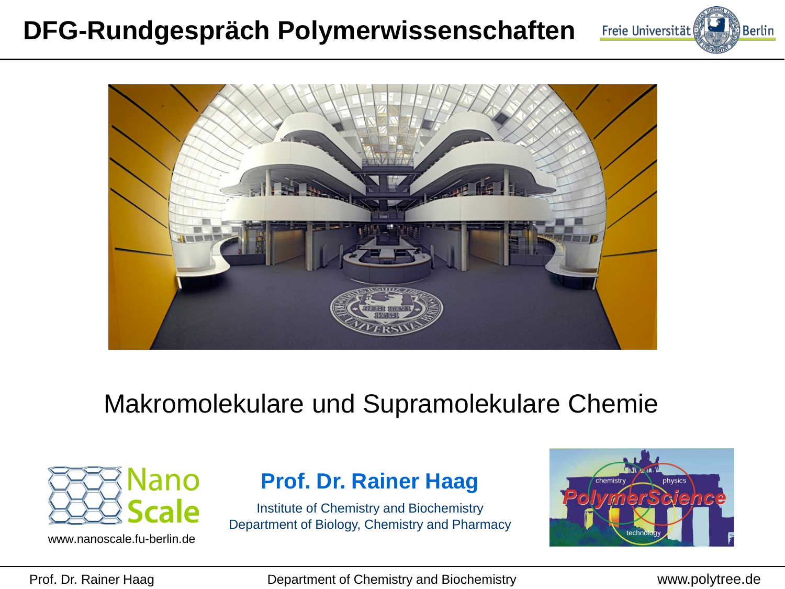### **DFG-Rundgespräch Polymerwissenschaften**





### Makromolekulare und Supramolekulare Chemie



www.nanoscale.fu-berlin.de

#### **Prof. Dr. Rainer Haag**

Institute of Chemistry and Biochemistry Department of Biology, Chemistry and Pharmacy



Prof. Dr. Rainer Haag Department of Chemistry and Biochemistry www.polytree.de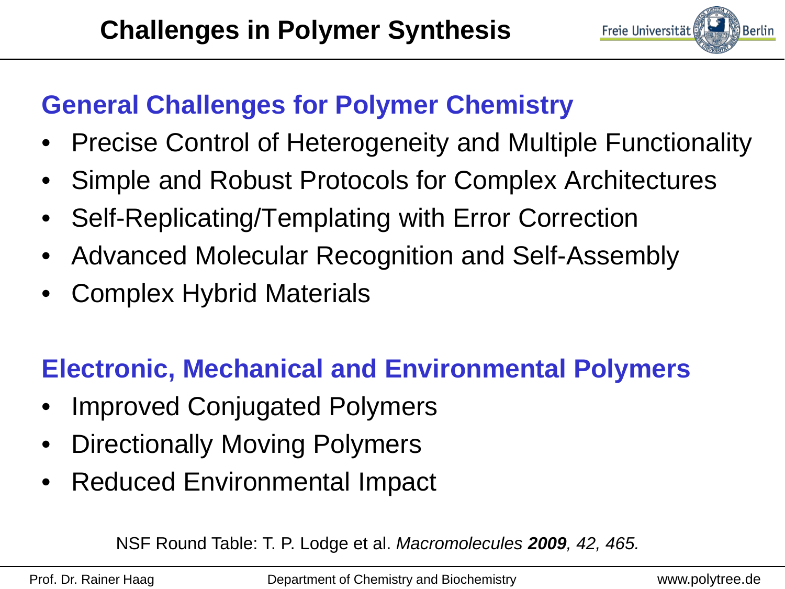

## **General Challenges for Polymer Chemistry**

- Precise Control of Heterogeneity and Multiple Functionality
- Simple and Robust Protocols for Complex Architectures
- Self-Replicating/Templating with Error Correction
- Advanced Molecular Recognition and Self-Assembly
- Complex Hybrid Materials

# **Electronic, Mechanical and Environmental Polymers**

- Improved Conjugated Polymers
- Directionally Moving Polymers
- Reduced Environmental Impact

NSF Round Table: T. P. Lodge et al. *Macromolecules 2009, 42, 465.*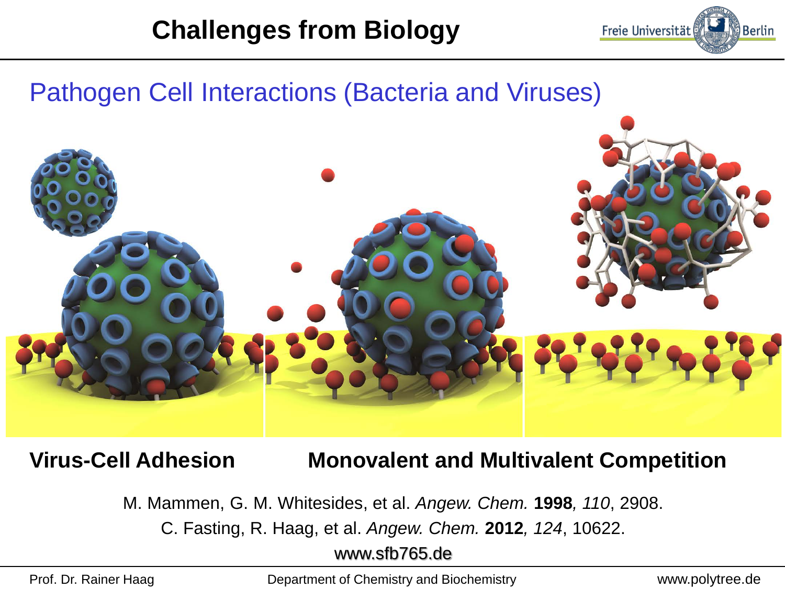

### Pathogen Cell Interactions (Bacteria and Viruses)



#### **Virus-Cell Adhesion Monovalent and Multivalent Competition**

M. Mammen, G. M. Whitesides, et al. *Angew. Chem.* **1998***, 110*, 2908.

C. Fasting, R. Haag, et al. *Angew. Chem.* **2012***, 124*, 10622.

www.sfb765.de

Prof. Dr. Rainer Haag Department of Chemistry and Biochemistry www.polytree.de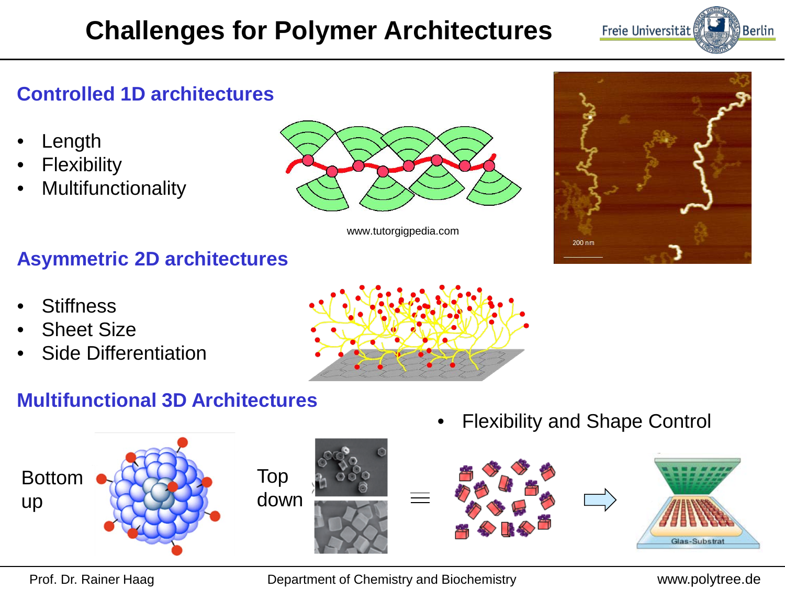# **Challenges for Polymer Architectures**



#### **Controlled 1D architectures**

- **Length**
- **Flexibility**
- **Multifunctionality**



www.tutorgigpedia.com



#### **Asymmetric 2D architectures**

- **Stiffness**
- **Sheet Size**
- Side Differentiation

#### **Multifunctional 3D Architectures**



• Flexibility and Shape Control



Prof. Dr. Rainer Haag Department of Chemistry and Biochemistry www.polytree.de